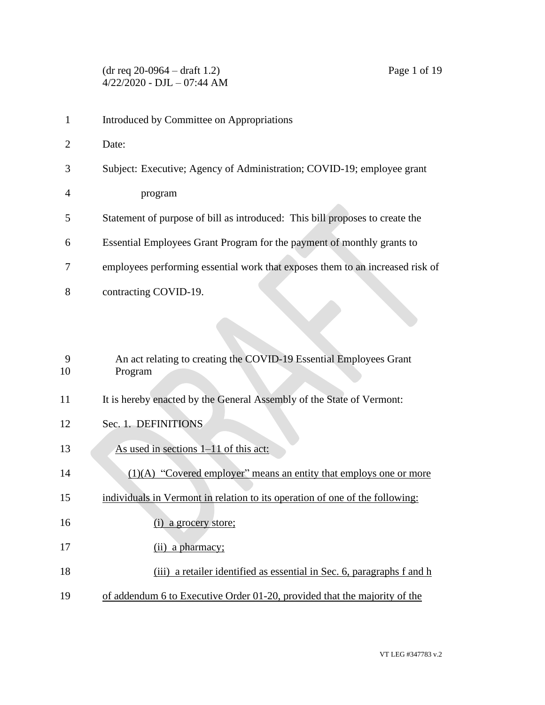- 1 Introduced by Committee on Appropriations
- 2 Date:
- 3 Subject: Executive; Agency of Administration; COVID-19; employee grant
- 4 program
- 5 Statement of purpose of bill as introduced: This bill proposes to create the
- 6 Essential Employees Grant Program for the payment of monthly grants to
- 7 employees performing essential work that exposes them to an increased risk of
- 8 contracting COVID-19.

| 9  | An act relating to creating the COVID-19 Essential Employees Grant           |
|----|------------------------------------------------------------------------------|
| 10 | Program                                                                      |
| 11 | It is hereby enacted by the General Assembly of the State of Vermont:        |
| 12 | Sec. 1. DEFINITIONS                                                          |
| 13 | As used in sections 1–11 of this act:                                        |
| 14 | $(1)(A)$ "Covered employer" means an entity that employs one or more         |
| 15 | individuals in Vermont in relation to its operation of one of the following: |
| 16 | a grocery store;                                                             |
| 17 | (ii) a pharmacy;                                                             |
| 18 | a retailer identified as essential in Sec. 6, paragraphs f and h<br>(iii)    |
| 19 | of addendum 6 to Executive Order 01-20, provided that the majority of the    |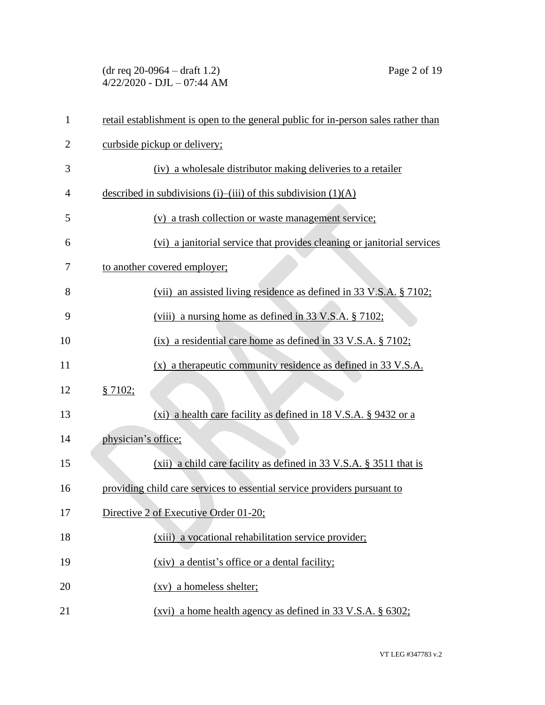(dr req 20-0964 – draft 1.2) Page 2 of 19 4/22/2020 - DJL – 07:44 AM

| $\mathbf{1}$   | retail establishment is open to the general public for in-person sales rather than |
|----------------|------------------------------------------------------------------------------------|
| $\overline{2}$ | curbside pickup or delivery;                                                       |
| 3              | (iv) a wholesale distributor making deliveries to a retailer                       |
| 4              | described in subdivisions (i)–(iii) of this subdivision $(1)(A)$                   |
| 5              | (v) a trash collection or waste management service;                                |
| 6              | (vi) a janitorial service that provides cleaning or janitorial services            |
| 7              | to another covered employer;                                                       |
| 8              | (vii) an assisted living residence as defined in 33 V.S.A. § 7102;                 |
| 9              | (viii) a nursing home as defined in 33 V.S.A. § 7102;                              |
| 10             | $(ix)$ a residential care home as defined in 33 V.S.A. § 7102;                     |
| 11             | $(x)$ a therapeutic community residence as defined in 33 V.S.A.                    |
| 12             | § 7102;                                                                            |
| 13             | (xi) a health care facility as defined in 18 V.S.A. § 9432 or a                    |
| 14             | physician's office;                                                                |
| 15             | $(xii)$ a child care facility as defined in 33 V.S.A. § 3511 that is               |
| 16             | providing child care services to essential service providers pursuant to           |
| 17             | Directive 2 of Executive Order 01-20;                                              |
| 18             | (xiii) a vocational rehabilitation service provider;                               |
| 19             | (xiv) a dentist's office or a dental facility;                                     |
| 20             | $(xv)$ a homeless shelter;                                                         |
| 21             | (xvi) a home health agency as defined in 33 V.S.A. § 6302;                         |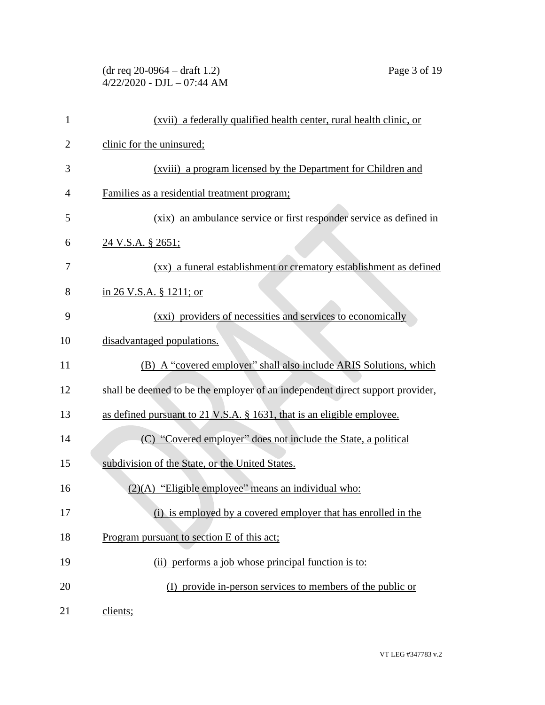## (dr req 20-0964 – draft 1.2) Page 3 of 19 4/22/2020 - DJL – 07:44 AM

| $\mathbf{1}$   | (xvii) a federally qualified health center, rural health clinic, or           |
|----------------|-------------------------------------------------------------------------------|
| $\overline{2}$ | clinic for the uninsured;                                                     |
| 3              | (xviii) a program licensed by the Department for Children and                 |
| $\overline{4}$ | Families as a residential treatment program;                                  |
| 5              | (xix) an ambulance service or first responder service as defined in           |
| 6              | 24 V.S.A. § 2651;                                                             |
| 7              | (xx) a funeral establishment or crematory establishment as defined            |
| 8              | in 26 V.S.A. $\S$ 1211; or                                                    |
| 9              | (xxi) providers of necessities and services to economically                   |
| 10             | disadvantaged populations.                                                    |
| 11             | (B) A "covered employer" shall also include ARIS Solutions, which             |
| 12             | shall be deemed to be the employer of an independent direct support provider, |
| 13             | as defined pursuant to 21 V.S.A. § 1631, that is an eligible employee.        |
| 14             | (C) "Covered employer" does not include the State, a political                |
| 15             | subdivision of the State, or the United States.                               |
| 16             | (2)(A) "Eligible employee" means an individual who:                           |
| 17             | (i) is employed by a covered employer that has enrolled in the                |
| 18             | Program pursuant to section E of this act;                                    |
| 19             | (ii) performs a job whose principal function is to:                           |
| 20             | (I) provide in-person services to members of the public or                    |
| 21             | clients;                                                                      |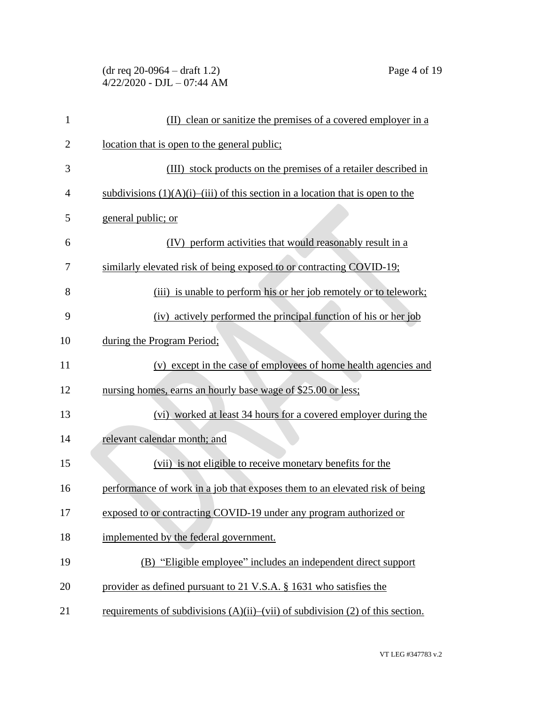(dr req 20-0964 – draft 1.2) Page 4 of 19 4/22/2020 - DJL – 07:44 AM

| $\mathbf{1}$   | (II) clean or sanitize the premises of a covered employer in a                         |
|----------------|----------------------------------------------------------------------------------------|
| $\overline{2}$ | <u>location that is open to the general public;</u>                                    |
| 3              | (III) stock products on the premises of a retailer described in                        |
| $\overline{4}$ | subdivisions $(1)(A)(i)$ —(iii) of this section in a location that is open to the      |
| 5              | general public; or                                                                     |
| 6              | (IV) perform activities that would reasonably result in a                              |
| 7              | similarly elevated risk of being exposed to or contracting COVID-19;                   |
| 8              | (iii) is unable to perform his or her job remotely or to telework;                     |
| 9              | (iv) actively performed the principal function of his or her job                       |
| 10             | during the Program Period;                                                             |
| 11             | (v) except in the case of employees of home health agencies and                        |
| 12             | nursing homes, earns an hourly base wage of \$25.00 or less;                           |
| 13             | (vi) worked at least 34 hours for a covered employer during the                        |
| 14             | relevant calendar month; and                                                           |
| 15             | (vii) is not eligible to receive monetary benefits for the                             |
| 16             | performance of work in a job that exposes them to an elevated risk of being            |
| 17             | exposed to or contracting COVID-19 under any program authorized or                     |
| 18             | implemented by the federal government.                                                 |
| 19             | (B) "Eligible employee" includes an independent direct support                         |
| 20             | provider as defined pursuant to 21 V.S.A. § 1631 who satisfies the                     |
| 21             | requirements of subdivisions $(A)(ii)$ — $(vii)$ of subdivision $(2)$ of this section. |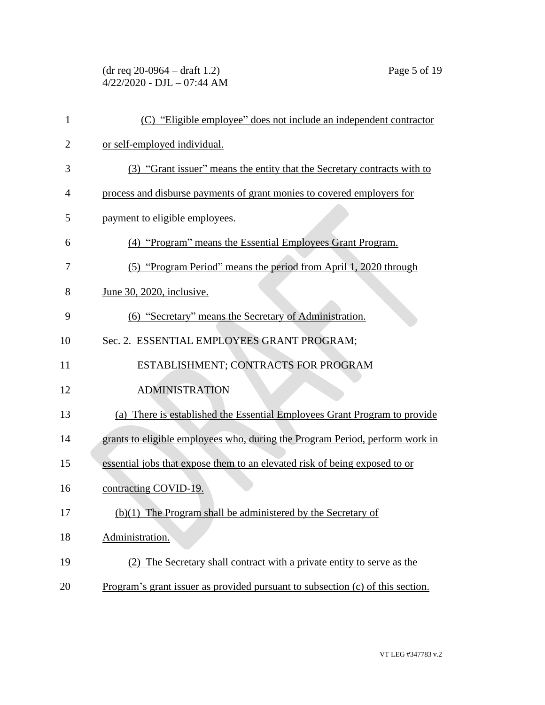(dr req 20-0964 – draft 1.2) Page 5 of 19 4/22/2020 - DJL – 07:44 AM

| $\mathbf{1}$   | (C) "Eligible employee" does not include an independent contractor             |
|----------------|--------------------------------------------------------------------------------|
| $\overline{2}$ | or self-employed individual.                                                   |
| 3              | (3) "Grant issuer" means the entity that the Secretary contracts with to       |
| $\overline{4}$ | process and disburse payments of grant monies to covered employers for         |
| 5              | payment to eligible employees.                                                 |
| 6              | (4) "Program" means the Essential Employees Grant Program.                     |
| 7              | (5) "Program Period" means the period from April 1, 2020 through               |
| 8              | <u>June 30, 2020, inclusive.</u>                                               |
| 9              | (6) "Secretary" means the Secretary of Administration.                         |
| 10             | Sec. 2. ESSENTIAL EMPLOYEES GRANT PROGRAM;                                     |
| 11             | ESTABLISHMENT; CONTRACTS FOR PROGRAM                                           |
| 12             | <b>ADMINISTRATION</b>                                                          |
| 13             | (a) There is established the Essential Employees Grant Program to provide      |
| 14             | grants to eligible employees who, during the Program Period, perform work in   |
| 15             | essential jobs that expose them to an elevated risk of being exposed to or     |
| 16             | contracting COVID-19.                                                          |
| 17             | $(b)(1)$ The Program shall be administered by the Secretary of                 |
| 18             | Administration.                                                                |
| 19             | (2) The Secretary shall contract with a private entity to serve as the         |
| 20             | Program's grant issuer as provided pursuant to subsection (c) of this section. |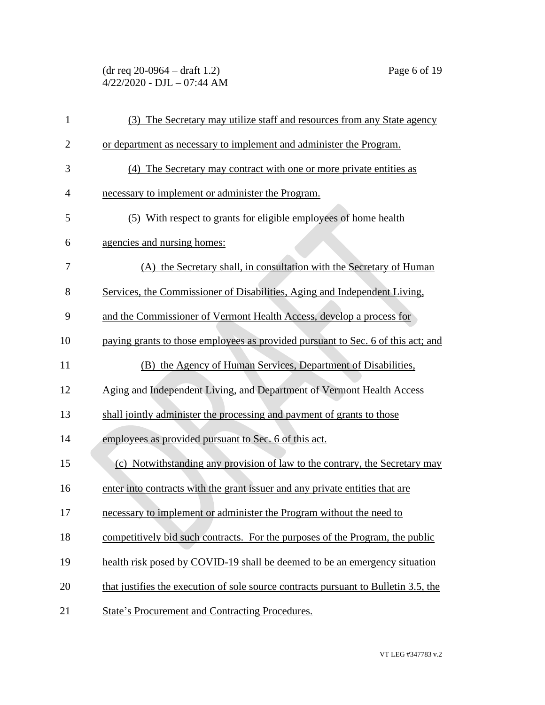(dr req 20-0964 – draft 1.2) Page 6 of 19 4/22/2020 - DJL – 07:44 AM

| $\mathbf{1}$   | (3) The Secretary may utilize staff and resources from any State agency             |
|----------------|-------------------------------------------------------------------------------------|
| $\overline{2}$ | or department as necessary to implement and administer the Program.                 |
| 3              | (4) The Secretary may contract with one or more private entities as                 |
| 4              | necessary to implement or administer the Program.                                   |
| 5              | (5) With respect to grants for eligible employees of home health                    |
| 6              | agencies and nursing homes:                                                         |
| 7              | (A) the Secretary shall, in consultation with the Secretary of Human                |
| 8              | Services, the Commissioner of Disabilities, Aging and Independent Living,           |
| 9              | and the Commissioner of Vermont Health Access, develop a process for                |
| 10             | paying grants to those employees as provided pursuant to Sec. 6 of this act; and    |
| 11             | (B) the Agency of Human Services, Department of Disabilities,                       |
| 12             | Aging and Independent Living, and Department of Vermont Health Access               |
| 13             | shall jointly administer the processing and payment of grants to those              |
| 14             | employees as provided pursuant to Sec. 6 of this act.                               |
| 15             | (c) Notwithstanding any provision of law to the contrary, the Secretary may         |
| 16             | enter into contracts with the grant issuer and any private entities that are        |
| 17             | necessary to implement or administer the Program without the need to                |
| 18             | competitively bid such contracts. For the purposes of the Program, the public       |
| 19             | health risk posed by COVID-19 shall be deemed to be an emergency situation          |
| 20             | that justifies the execution of sole source contracts pursuant to Bulletin 3.5, the |
| 21             | State's Procurement and Contracting Procedures.                                     |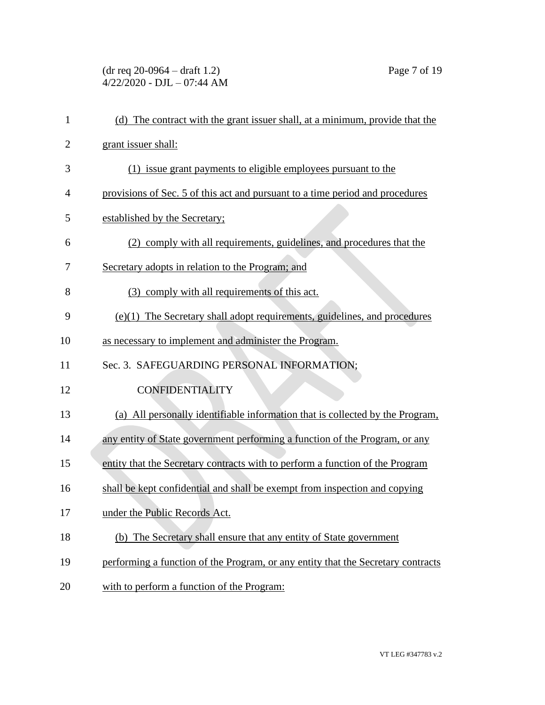(dr req 20-0964 – draft 1.2) Page 7 of 19 4/22/2020 - DJL – 07:44 AM

| $\mathbf{1}$   | (d) The contract with the grant issuer shall, at a minimum, provide that the     |
|----------------|----------------------------------------------------------------------------------|
| $\overline{2}$ | grant issuer shall:                                                              |
| 3              | (1) issue grant payments to eligible employees pursuant to the                   |
| 4              | provisions of Sec. 5 of this act and pursuant to a time period and procedures    |
| 5              | established by the Secretary;                                                    |
| 6              | (2) comply with all requirements, guidelines, and procedures that the            |
| 7              | Secretary adopts in relation to the Program; and                                 |
| 8              | (3) comply with all requirements of this act.                                    |
| 9              | (e)(1) The Secretary shall adopt requirements, guidelines, and procedures        |
| 10             | as necessary to implement and administer the Program.                            |
| 11             | Sec. 3. SAFEGUARDING PERSONAL INFORMATION:                                       |
| 12             | <b>CONFIDENTIALITY</b>                                                           |
| 13             | (a) All personally identifiable information that is collected by the Program,    |
| 14             | any entity of State government performing a function of the Program, or any      |
| 15             | entity that the Secretary contracts with to perform a function of the Program    |
| 16             | shall be kept confidential and shall be exempt from inspection and copying       |
| 17             | under the Public Records Act.                                                    |
| 18             | (b) The Secretary shall ensure that any entity of State government               |
| 19             | performing a function of the Program, or any entity that the Secretary contracts |
| 20             | with to perform a function of the Program:                                       |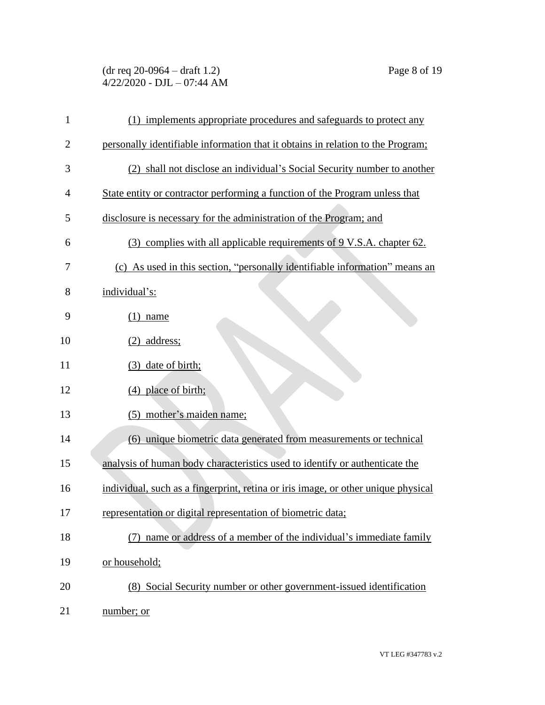(dr req 20-0964 – draft 1.2) Page 8 of 19 4/22/2020 - DJL – 07:44 AM

| $\mathbf{1}$   | (1) implements appropriate procedures and safeguards to protect any               |
|----------------|-----------------------------------------------------------------------------------|
| $\overline{2}$ | personally identifiable information that it obtains in relation to the Program;   |
| 3              | (2) shall not disclose an individual's Social Security number to another          |
| $\overline{4}$ | State entity or contractor performing a function of the Program unless that       |
| 5              | disclosure is necessary for the administration of the Program; and                |
| 6              | (3) complies with all applicable requirements of 9 V.S.A. chapter 62.             |
| 7              | (c) As used in this section, "personally identifiable information" means an       |
| 8              | individual's:                                                                     |
| 9              | $(1)$ name                                                                        |
| 10             | $(2)$ address;                                                                    |
| 11             | (3) date of birth;                                                                |
| 12             | (4) place of birth;                                                               |
| 13             | (5) mother's maiden name;                                                         |
| 14             | (6) unique biometric data generated from measurements or technical                |
| 15             | analysis of human body characteristics used to identify or authenticate the       |
| 16             | individual, such as a fingerprint, retina or iris image, or other unique physical |
| 17             | representation or digital representation of biometric data;                       |
| 18             | name or address of a member of the individual's immediate family                  |
| 19             | or household;                                                                     |
| 20             | (8) Social Security number or other government-issued identification              |
| 21             | number; or                                                                        |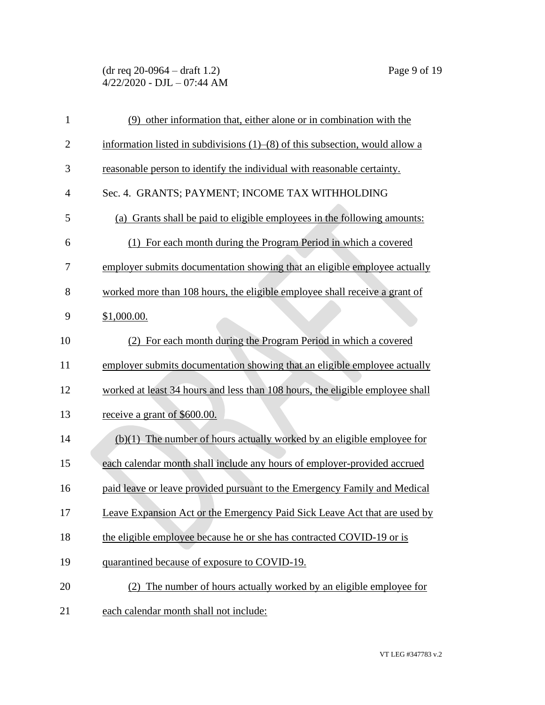## (dr req 20-0964 – draft 1.2) Page 9 of 19 4/22/2020 - DJL – 07:44 AM

| $\mathbf{1}$   | (9) other information that, either alone or in combination with the                |
|----------------|------------------------------------------------------------------------------------|
| $\overline{2}$ | information listed in subdivisions $(1)$ – $(8)$ of this subsection, would allow a |
| 3              | reasonable person to identify the individual with reasonable certainty.            |
| $\overline{4}$ | Sec. 4. GRANTS; PAYMENT; INCOME TAX WITHHOLDING                                    |
| 5              | (a) Grants shall be paid to eligible employees in the following amounts:           |
| 6              | (1) For each month during the Program Period in which a covered                    |
| 7              | employer submits documentation showing that an eligible employee actually          |
| 8              | worked more than 108 hours, the eligible employee shall receive a grant of         |
| 9              | \$1,000.00.                                                                        |
| 10             | (2) For each month during the Program Period in which a covered                    |
| 11             | employer submits documentation showing that an eligible employee actually          |
| 12             | worked at least 34 hours and less than 108 hours, the eligible employee shall      |
| 13             | receive a grant of \$600.00.                                                       |
| 14             | $(b)(1)$ The number of hours actually worked by an eligible employee for           |
| 15             | each calendar month shall include any hours of employer-provided accrued           |
| 16             | paid leave or leave provided pursuant to the Emergency Family and Medical          |
| 17             | Leave Expansion Act or the Emergency Paid Sick Leave Act that are used by          |
| 18             | the eligible employee because he or she has contracted COVID-19 or is              |
| 19             | quarantined because of exposure to COVID-19.                                       |
| 20             | (2) The number of hours actually worked by an eligible employee for                |
| 21             | each calendar month shall not include:                                             |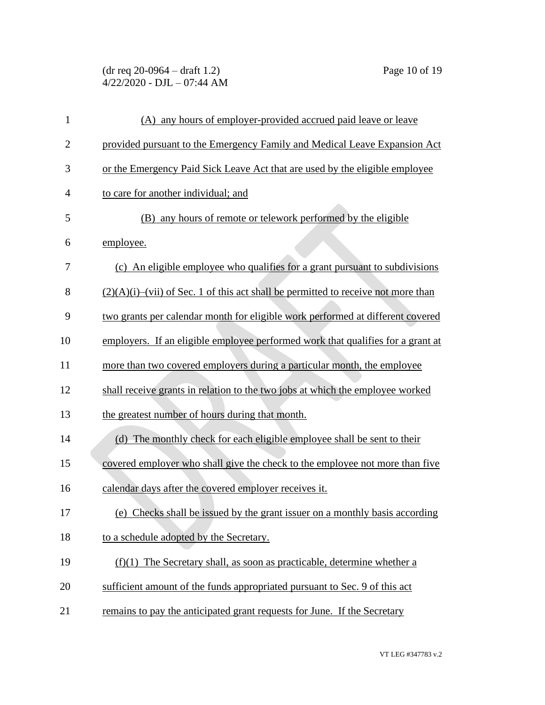(dr req 20-0964 – draft 1.2) Page 10 of 19  $4/22/2020$  - DJL - 07:44 AM

| $\mathbf{1}$   | (A) any hours of employer-provided accrued paid leave or leave                       |
|----------------|--------------------------------------------------------------------------------------|
| $\overline{2}$ | provided pursuant to the Emergency Family and Medical Leave Expansion Act            |
| 3              | or the Emergency Paid Sick Leave Act that are used by the eligible employee          |
| $\overline{4}$ | to care for another individual; and                                                  |
| 5              | (B) any hours of remote or telework performed by the eligible                        |
| 6              | employee.                                                                            |
| 7              | (c) An eligible employee who qualifies for a grant pursuant to subdivisions          |
| 8              | $(2)(A)(i)$ —(vii) of Sec. 1 of this act shall be permitted to receive not more than |
| 9              | two grants per calendar month for eligible work performed at different covered       |
| 10             | employers. If an eligible employee performed work that qualifies for a grant at      |
| 11             | more than two covered employers during a particular month, the employee              |
| 12             | shall receive grants in relation to the two jobs at which the employee worked        |
| 13             | the greatest number of hours during that month.                                      |
| 14             | (d) The monthly check for each eligible employee shall be sent to their              |
| 15             | covered employer who shall give the check to the employee not more than five         |
| 16             | calendar days after the covered employer receives it.                                |
| 17             | (e) Checks shall be issued by the grant issuer on a monthly basis according          |
| 18             | to a schedule adopted by the Secretary.                                              |
| 19             | $(f)(1)$ The Secretary shall, as soon as practicable, determine whether a            |
| 20             | sufficient amount of the funds appropriated pursuant to Sec. 9 of this act           |
| 21             | remains to pay the anticipated grant requests for June. If the Secretary             |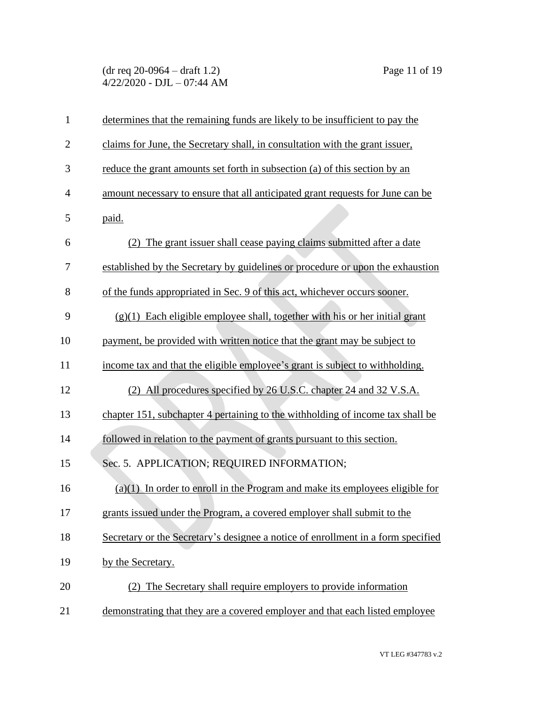(dr req 20-0964 – draft 1.2) Page 11 of 19 4/22/2020 - DJL – 07:44 AM

| $\mathbf{1}$   | determines that the remaining funds are likely to be insufficient to pay the     |
|----------------|----------------------------------------------------------------------------------|
| $\overline{2}$ | claims for June, the Secretary shall, in consultation with the grant issuer,     |
| 3              | reduce the grant amounts set forth in subsection (a) of this section by an       |
| $\overline{4}$ | amount necessary to ensure that all anticipated grant requests for June can be   |
| 5              | paid.                                                                            |
| 6              | (2) The grant issuer shall cease paying claims submitted after a date            |
| 7              | established by the Secretary by guidelines or procedure or upon the exhaustion   |
| 8              | of the funds appropriated in Sec. 9 of this act, whichever occurs sooner.        |
| 9              | $(g)(1)$ Each eligible employee shall, together with his or her initial grant    |
| 10             | payment, be provided with written notice that the grant may be subject to        |
| 11             | income tax and that the eligible employee's grant is subject to withholding.     |
| 12             | (2) All procedures specified by 26 U.S.C. chapter 24 and 32 V.S.A.               |
| 13             | chapter 151, subchapter 4 pertaining to the withholding of income tax shall be   |
| 14             | followed in relation to the payment of grants pursuant to this section.          |
| 15             | Sec. 5. APPLICATION; REQUIRED INFORMATION;                                       |
| 16             | $(a)(1)$ In order to enroll in the Program and make its employees eligible for   |
| 17             | grants issued under the Program, a covered employer shall submit to the          |
| 18             | Secretary or the Secretary's designee a notice of enrollment in a form specified |
| 19             | by the Secretary.                                                                |
| 20             | (2) The Secretary shall require employers to provide information                 |
| 21             | demonstrating that they are a covered employer and that each listed employee     |

VT LEG #347783 v.2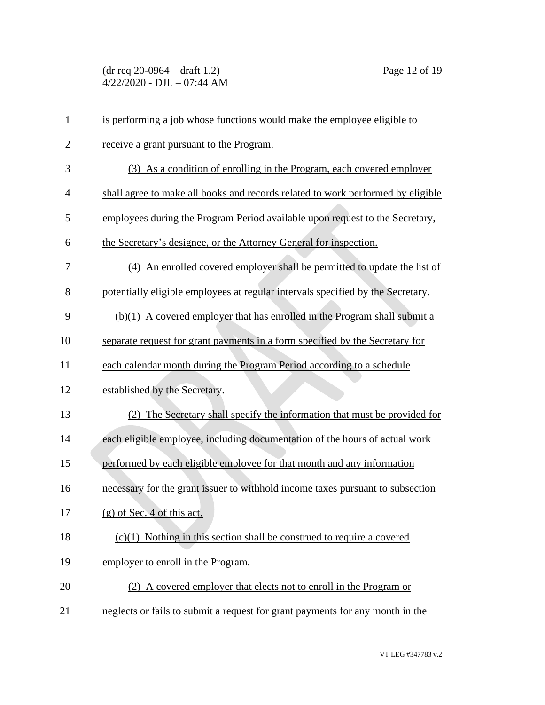(dr req 20-0964 – draft 1.2) Page 12 of 19 4/22/2020 - DJL – 07:44 AM

| $\mathbf{1}$   | is performing a job whose functions would make the employee eligible to         |
|----------------|---------------------------------------------------------------------------------|
| $\mathbf{2}$   | receive a grant pursuant to the Program.                                        |
| 3              | (3) As a condition of enrolling in the Program, each covered employer           |
| $\overline{4}$ | shall agree to make all books and records related to work performed by eligible |
| 5              | employees during the Program Period available upon request to the Secretary,    |
| 6              | the Secretary's designee, or the Attorney General for inspection.               |
| 7              | (4) An enrolled covered employer shall be permitted to update the list of       |
| 8              | potentially eligible employees at regular intervals specified by the Secretary. |
| 9              | $(b)(1)$ A covered employer that has enrolled in the Program shall submit a     |
| 10             | separate request for grant payments in a form specified by the Secretary for    |
| 11             | each calendar month during the Program Period according to a schedule           |
| 12             | established by the Secretary.                                                   |
| 13             | (2) The Secretary shall specify the information that must be provided for       |
| 14             | each eligible employee, including documentation of the hours of actual work     |
| 15             | performed by each eligible employee for that month and any information          |
| 16             | necessary for the grant issuer to withhold income taxes pursuant to subsection  |
| 17             | $(g)$ of Sec. 4 of this act.                                                    |
| 18             | $(c)(1)$ Nothing in this section shall be construed to require a covered        |
| 19             | employer to enroll in the Program.                                              |
| 20             | (2) A covered employer that elects not to enroll in the Program or              |
| 21             | neglects or fails to submit a request for grant payments for any month in the   |

VT LEG #347783 v.2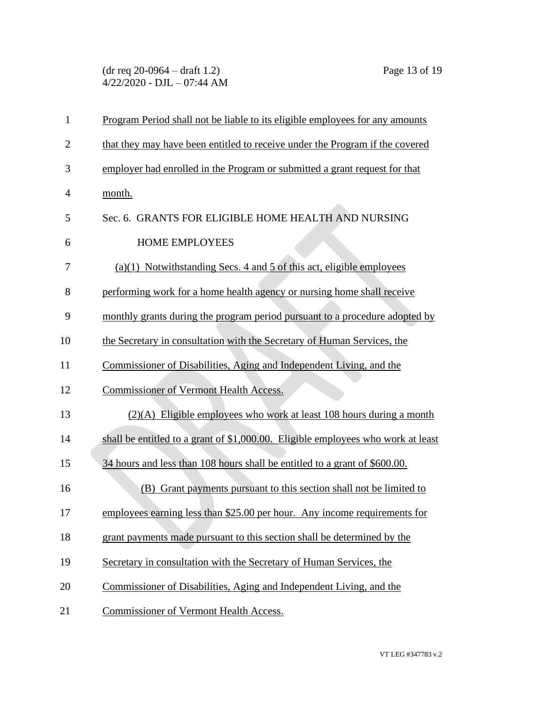(dr req 20-0964 – draft 1.2) Page 13 of 19 4/22/2020 - DJL – 07:44 AM

| $\mathbf{1}$   | Program Period shall not be liable to its eligible employees for any amounts     |
|----------------|----------------------------------------------------------------------------------|
| $\overline{2}$ | that they may have been entitled to receive under the Program if the covered     |
| 3              | employer had enrolled in the Program or submitted a grant request for that       |
| $\overline{4}$ | month.                                                                           |
| 5              | Sec. 6. GRANTS FOR ELIGIBLE HOME HEALTH AND NURSING                              |
| 6              | <b>HOME EMPLOYEES</b>                                                            |
| 7              | $(a)(1)$ Notwithstanding Secs. 4 and 5 of this act, eligible employees           |
| 8              | performing work for a home health agency or nursing home shall receive           |
| 9              | monthly grants during the program period pursuant to a procedure adopted by      |
| 10             | the Secretary in consultation with the Secretary of Human Services, the          |
| 11             | Commissioner of Disabilities, Aging and Independent Living, and the              |
| 12             | <b>Commissioner of Vermont Health Access.</b>                                    |
| 13             | $(2)(A)$ Eligible employees who work at least 108 hours during a month           |
| 14             | shall be entitled to a grant of \$1,000.00. Eligible employees who work at least |
| 15             | 34 hours and less than 108 hours shall be entitled to a grant of \$600.00.       |
| 16             | (B) Grant payments pursuant to this section shall not be limited to              |
| 17             | employees earning less than \$25.00 per hour. Any income requirements for        |
| 18             | grant payments made pursuant to this section shall be determined by the          |
| 19             | Secretary in consultation with the Secretary of Human Services, the              |
| 20             | Commissioner of Disabilities, Aging and Independent Living, and the              |
| 21             | Commissioner of Vermont Health Access.                                           |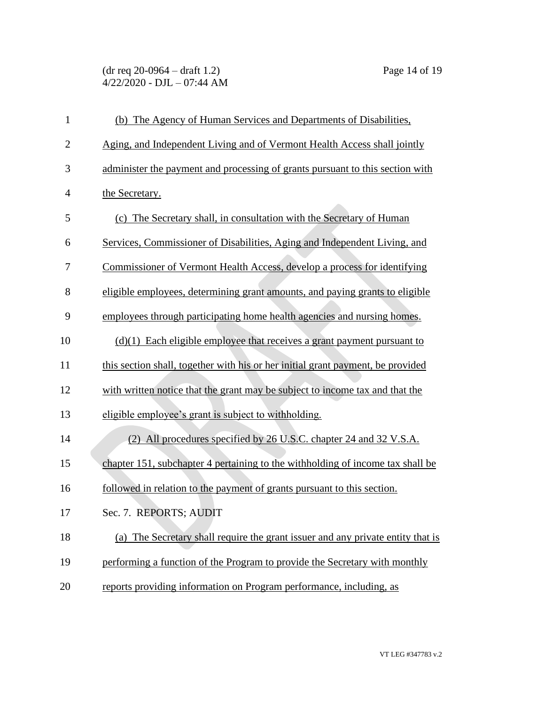(dr req 20-0964 – draft 1.2) Page 14 of 19 4/22/2020 - DJL – 07:44 AM

| $\mathbf{1}$   | (b) The Agency of Human Services and Departments of Disabilities,               |
|----------------|---------------------------------------------------------------------------------|
| $\overline{2}$ | Aging, and Independent Living and of Vermont Health Access shall jointly        |
| 3              | administer the payment and processing of grants pursuant to this section with   |
| $\overline{4}$ | the Secretary.                                                                  |
| 5              | (c) The Secretary shall, in consultation with the Secretary of Human            |
| 6              | Services, Commissioner of Disabilities, Aging and Independent Living, and       |
| 7              | Commissioner of Vermont Health Access, develop a process for identifying        |
| 8              | eligible employees, determining grant amounts, and paying grants to eligible    |
| 9              | employees through participating home health agencies and nursing homes.         |
| 10             | $(d)(1)$ Each eligible employee that receives a grant payment pursuant to       |
| 11             | this section shall, together with his or her initial grant payment, be provided |
| 12             | with written notice that the grant may be subject to income tax and that the    |
| 13             | eligible employee's grant is subject to withholding.                            |
| 14             | (2) All procedures specified by 26 U.S.C. chapter 24 and 32 V.S.A.              |
| 15             | chapter 151, subchapter 4 pertaining to the withholding of income tax shall be  |
| 16             | followed in relation to the payment of grants pursuant to this section.         |
| 17             | Sec. 7. REPORTS; AUDIT                                                          |
| 18             | (a) The Secretary shall require the grant issuer and any private entity that is |
| 19             | performing a function of the Program to provide the Secretary with monthly      |
| 20             | reports providing information on Program performance, including, as             |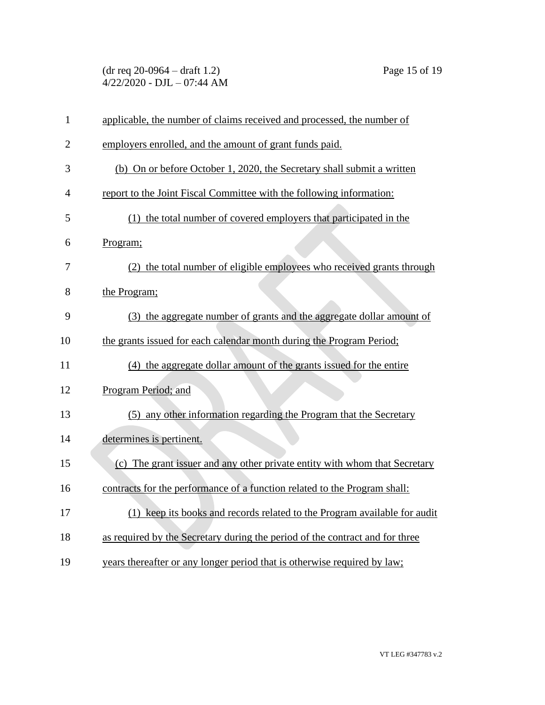(dr req 20-0964 – draft 1.2) Page 15 of 19 4/22/2020 - DJL – 07:44 AM

| $\mathbf{1}$   | applicable, the number of claims received and processed, the number of       |
|----------------|------------------------------------------------------------------------------|
| $\overline{2}$ | employers enrolled, and the amount of grant funds paid.                      |
| 3              | (b) On or before October 1, 2020, the Secretary shall submit a written       |
| $\overline{4}$ | report to the Joint Fiscal Committee with the following information:         |
| 5              | (1) the total number of covered employers that participated in the           |
| 6              | Program;                                                                     |
| 7              | (2) the total number of eligible employees who received grants through       |
| 8              | the Program;                                                                 |
| 9              | (3) the aggregate number of grants and the aggregate dollar amount of        |
| 10             | the grants issued for each calendar month during the Program Period;         |
| 11             | (4) the aggregate dollar amount of the grants issued for the entire          |
| 12             | Program Period; and                                                          |
| 13             | (5) any other information regarding the Program that the Secretary           |
| 14             | determines is pertinent.                                                     |
| 15             | (c) The grant issuer and any other private entity with whom that Secretary   |
| 16             | contracts for the performance of a function related to the Program shall:    |
| 17             | (1) keep its books and records related to the Program available for audit    |
| 18             | as required by the Secretary during the period of the contract and for three |
| 19             | years thereafter or any longer period that is otherwise required by law;     |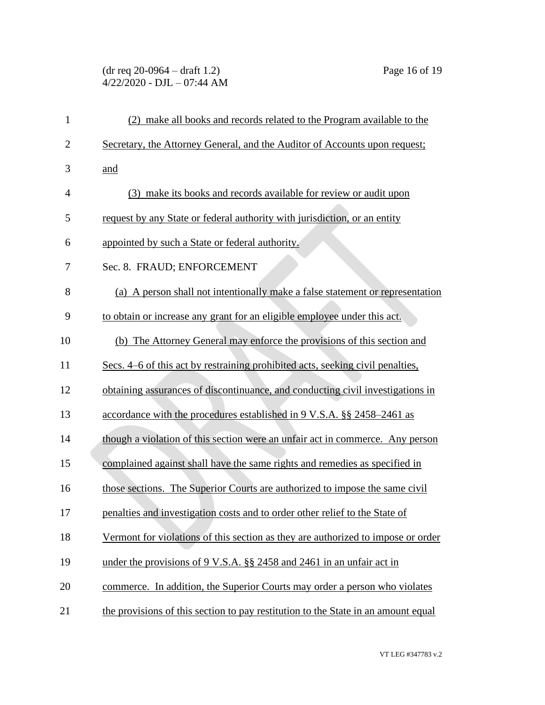## (dr req 20-0964 – draft 1.2) Page 16 of 19 4/22/2020 - DJL – 07:44 AM

| $\mathbf{1}$   | (2) make all books and records related to the Program available to the            |
|----------------|-----------------------------------------------------------------------------------|
| $\overline{c}$ | Secretary, the Attorney General, and the Auditor of Accounts upon request;        |
| 3              | and                                                                               |
| $\overline{4}$ | (3) make its books and records available for review or audit upon                 |
| 5              | request by any State or federal authority with jurisdiction, or an entity         |
| 6              | appointed by such a State or federal authority.                                   |
| 7              | Sec. 8. FRAUD; ENFORCEMENT                                                        |
| 8              | (a) A person shall not intentionally make a false statement or representation     |
| 9              | to obtain or increase any grant for an eligible employee under this act.          |
| 10             | (b) The Attorney General may enforce the provisions of this section and           |
| 11             | Secs. 4–6 of this act by restraining prohibited acts, seeking civil penalties,    |
| 12             | obtaining assurances of discontinuance, and conducting civil investigations in    |
| 13             | accordance with the procedures established in 9 V.S.A. §§ 2458–2461 as            |
| 14             | though a violation of this section were an unfair act in commerce. Any person     |
| 15             | complained against shall have the same rights and remedies as specified in        |
| 16             | those sections. The Superior Courts are authorized to impose the same civil       |
| 17             | penalties and investigation costs and to order other relief to the State of       |
| 18             | Vermont for violations of this section as they are authorized to impose or order  |
| 19             | under the provisions of 9 V.S.A. §§ 2458 and 2461 in an unfair act in             |
| 20             | commerce. In addition, the Superior Courts may order a person who violates        |
| 21             | the provisions of this section to pay restitution to the State in an amount equal |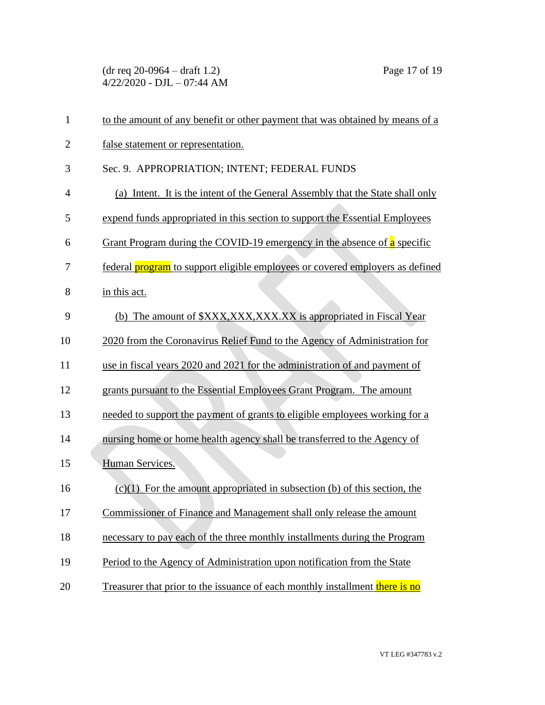(dr req 20-0964 – draft 1.2) Page 17 of 19 4/22/2020 - DJL – 07:44 AM

| $\mathbf{1}$   | to the amount of any benefit or other payment that was obtained by means of a        |
|----------------|--------------------------------------------------------------------------------------|
| $\overline{2}$ | false statement or representation.                                                   |
| 3              | Sec. 9. APPROPRIATION; INTENT; FEDERAL FUNDS                                         |
| $\overline{4}$ | (a) Intent. It is the intent of the General Assembly that the State shall only       |
| 5              | expend funds appropriated in this section to support the Essential Employees         |
| 6              | <b>Grant Program during the COVID-19 emergency in the absence of a specific</b>      |
| 7              | federal <b>program</b> to support eligible employees or covered employers as defined |
| 8              | in this act.                                                                         |
| 9              | (b) The amount of \$XXX, XXX, XXX. XX is appropriated in Fiscal Year                 |
| 10             | 2020 from the Coronavirus Relief Fund to the Agency of Administration for            |
| 11             | use in fiscal years 2020 and 2021 for the administration of and payment of           |
| 12             | grants pursuant to the Essential Employees Grant Program. The amount                 |
| 13             | needed to support the payment of grants to eligible employees working for a          |
| 14             | nursing home or home health agency shall be transferred to the Agency of             |
| 15             | Human Services.                                                                      |
| 16             | $(c)(1)$ For the amount appropriated in subsection (b) of this section, the          |
| 17             | Commissioner of Finance and Management shall only release the amount                 |
| 18             | necessary to pay each of the three monthly installments during the Program           |
| 19             | Period to the Agency of Administration upon notification from the State              |
| 20             | Treasurer that prior to the issuance of each monthly installment there is no         |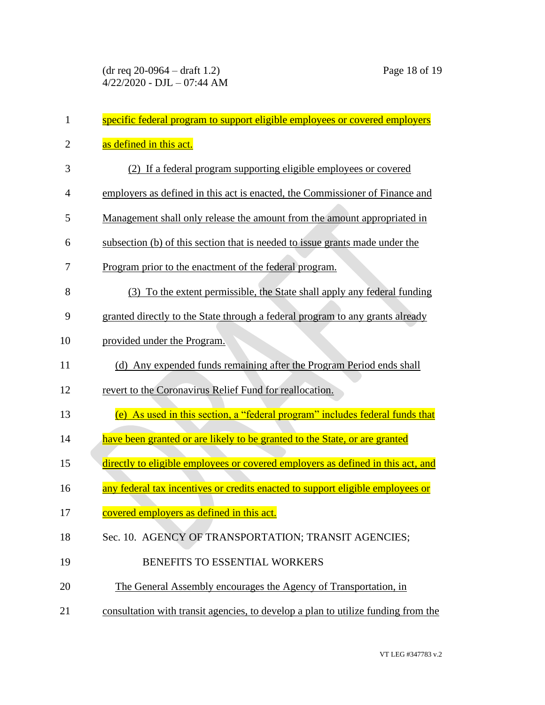| 1              | specific federal program to support eligible employees or covered employers       |
|----------------|-----------------------------------------------------------------------------------|
| $\overline{2}$ | as defined in this act.                                                           |
| 3              | (2) If a federal program supporting eligible employees or covered                 |
| $\overline{4}$ | employers as defined in this act is enacted, the Commissioner of Finance and      |
| 5              | Management shall only release the amount from the amount appropriated in          |
| 6              | subsection (b) of this section that is needed to issue grants made under the      |
| 7              | Program prior to the enactment of the federal program.                            |
| 8              | To the extent permissible, the State shall apply any federal funding<br>(3)       |
| 9              | granted directly to the State through a federal program to any grants already     |
| 10             | provided under the Program.                                                       |
| 11             | (d) Any expended funds remaining after the Program Period ends shall              |
| 12             | revert to the Coronavirus Relief Fund for reallocation.                           |
| 13             | (e) As used in this section, a "federal program" includes federal funds that      |
| 14             | have been granted or are likely to be granted to the State, or are granted        |
| 15             | directly to eligible employees or covered employers as defined in this act, and   |
| 16             | any federal tax incentives or credits enacted to support eligible employees or    |
| 17             | covered employers as defined in this act.                                         |
| 18             | Sec. 10. AGENCY OF TRANSPORTATION; TRANSIT AGENCIES;                              |
| 19             | BENEFITS TO ESSENTIAL WORKERS                                                     |
| 20             | The General Assembly encourages the Agency of Transportation, in                  |
| 21             | consultation with transit agencies, to develop a plan to utilize funding from the |